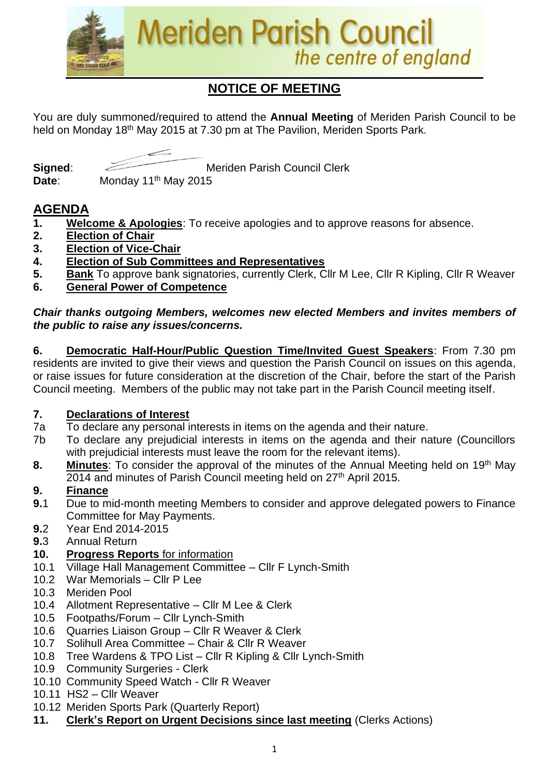

# **NOTICE OF MEETING**

You are duly summoned/required to attend the **Annual Meeting** of Meriden Parish Council to be held on Monday 18<sup>th</sup> May 2015 at 7.30 pm at The Pavilion, Meriden Sports Park.





**Signed:** Meriden Parish Council Clerk

## **AGENDA**

- **1. Welcome & Apologies**: To receive apologies and to approve reasons for absence.
- **2. Election of Chair**
- **3. Election of Vice-Chair**
- **4. Election of Sub Committees and Representatives**
- **5. Bank** To approve bank signatories, currently Clerk, Cllr M Lee, Cllr R Kipling, Cllr R Weaver
- **6. General Power of Competence**

*Chair thanks outgoing Members, welcomes new elected Members and invites members of the public to raise any issues/concerns.* 

**6. Democratic Half-Hour/Public Question Time/Invited Guest Speakers**: From 7.30 pm residents are invited to give their views and question the Parish Council on issues on this agenda, or raise issues for future consideration at the discretion of the Chair, before the start of the Parish Council meeting. Members of the public may not take part in the Parish Council meeting itself.

#### **7. Declarations of Interest**

- 7a To declare any personal interests in items on the agenda and their nature.
- 7b To declare any prejudicial interests in items on the agenda and their nature (Councillors with prejudicial interests must leave the room for the relevant items).
- **8.** Minutes: To consider the approval of the minutes of the Annual Meeting held on 19<sup>th</sup> May 2014 and minutes of Parish Council meeting held on 27<sup>th</sup> April 2015.

## **9. Finance**

- **9.**1 Due to mid-month meeting Members to consider and approve delegated powers to Finance Committee for May Payments.
- **9.**2 Year End 2014-2015
- **9.**3 Annual Return

## **10. Progress Reports** for information

- 10.1 Village Hall Management Committee Cllr F Lynch-Smith
- 10.2 War Memorials Cllr P Lee
- 10.3 Meriden Pool
- 10.4 Allotment Representative Cllr M Lee & Clerk
- 10.5 Footpaths/Forum Cllr Lynch-Smith
- 10.6 Quarries Liaison Group Cllr R Weaver & Clerk
- 10.7 Solihull Area Committee Chair & Cllr R Weaver
- 10.8 Tree Wardens & TPO List Cllr R Kipling & Cllr Lynch-Smith
- 10.9 Community Surgeries Clerk
- 10.10 Community Speed Watch Cllr R Weaver
- 10.11 HS2 Cllr Weaver
- 10.12 Meriden Sports Park (Quarterly Report)
- **11. Clerk's Report on Urgent Decisions since last meeting** (Clerks Actions)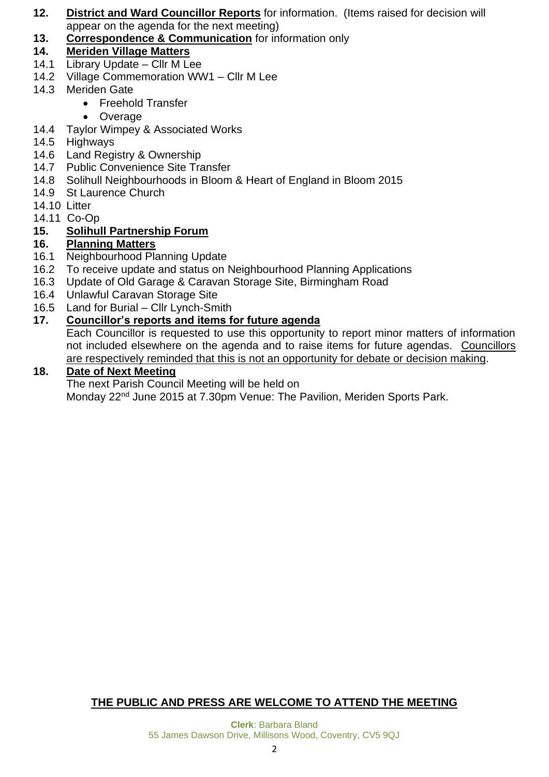- **12. District and Ward Councillor Reports** for information. (Items raised for decision will appear on the agenda for the next meeting)
- **13. Correspondence & Communication** for information only
- **14. Meriden Village Matters**
- 14.1 Library Update Cllr M Lee
- 14.2 Village Commemoration WW1 Cllr M Lee
- 14.3 Meriden Gate
	- Freehold Transfer
	- Overage
- 14.4 Taylor Wimpey & Associated Works
- 14.5 Highways
- 14.6 Land Registry & Ownership
- 14.7 Public Convenience Site Transfer
- 14.8 Solihull Neighbourhoods in Bloom & Heart of England in Bloom 2015
- 14.9 St Laurence Church
- 14.10 Litter
- 14.11 Co-Op

## **15. Solihull Partnership Forum**

## **16. Planning Matters**

- 16.1 Neighbourhood Planning Update
- 16.2 To receive update and status on Neighbourhood Planning Applications
- 16.3 Update of Old Garage & Caravan Storage Site, Birmingham Road
- 16.4 Unlawful Caravan Storage Site
- 16.5 Land for Burial Cllr Lynch-Smith

#### **17. Councillor's reports and items for future agenda**

Each Councillor is requested to use this opportunity to report minor matters of information not included elsewhere on the agenda and to raise items for future agendas. Councillors are respectively reminded that this is not an opportunity for debate or decision making.

#### **18. Date of Next Meeting**

The next Parish Council Meeting will be held on Monday 22<sup>nd</sup> June 2015 at 7.30pm Venue: The Pavilion, Meriden Sports Park.

## **THE PUBLIC AND PRESS ARE WELCOME TO ATTEND THE MEETING**